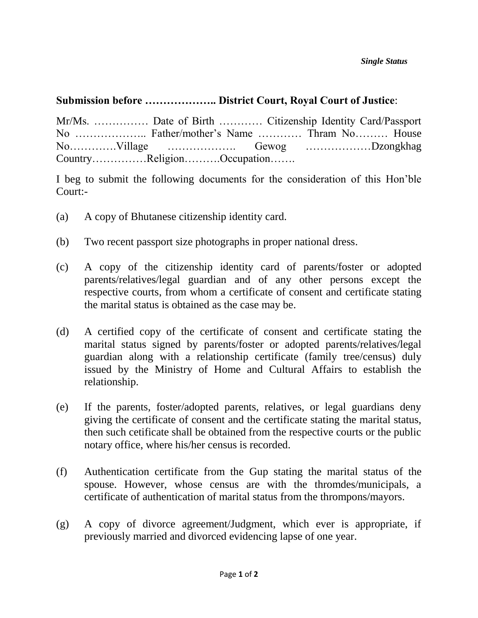## **Submission before ……………….. District Court, Royal Court of Justice**:

| Mr/Ms.  Date of Birth  Citizenship Identity Card/Passport |  |  |
|-----------------------------------------------------------|--|--|
|                                                           |  |  |
|                                                           |  |  |
| CountryReligionOccupation                                 |  |  |

I beg to submit the following documents for the consideration of this Hon'ble Court:-

- (a) A copy of Bhutanese citizenship identity card.
- (b) Two recent passport size photographs in proper national dress.
- (c) A copy of the citizenship identity card of parents/foster or adopted parents/relatives/legal guardian and of any other persons except the respective courts, from whom a certificate of consent and certificate stating the marital status is obtained as the case may be.
- (d) A certified copy of the certificate of consent and certificate stating the marital status signed by parents/foster or adopted parents/relatives/legal guardian along with a relationship certificate (family tree/census) duly issued by the Ministry of Home and Cultural Affairs to establish the relationship.
- (e) If the parents, foster/adopted parents, relatives, or legal guardians deny giving the certificate of consent and the certificate stating the marital status, then such cetificate shall be obtained from the respective courts or the public notary office, where his/her census is recorded.
- (f) Authentication certificate from the Gup stating the marital status of the spouse. However, whose census are with the thromdes/municipals, a certificate of authentication of marital status from the thrompons/mayors.
- (g) A copy of divorce agreement/Judgment, which ever is appropriate, if previously married and divorced evidencing lapse of one year.